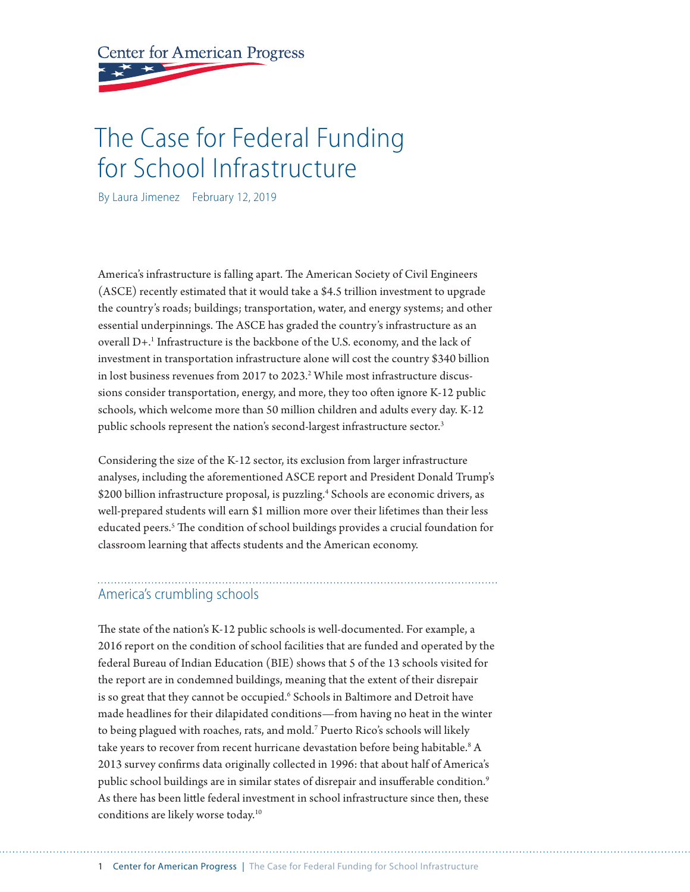**Center for American Progress** 

# The Case for Federal Funding for School Infrastructure

By Laura Jimenez February 12, 2019

America's infrastructure is falling apart. The American Society of Civil Engineers (ASCE) recently estimated that it would take a \$4.5 trillion investment to upgrade the country's roads; buildings; transportation, water, and energy systems; and other essential underpinnings. The ASCE has graded the country's infrastructure as an overall D+.1 Infrastructure is the backbone of the U.S. economy, and the lack of investment in transportation infrastructure alone will cost the country \$340 billion in lost business revenues from 2017 to 2023. $^2$  While most infrastructure discussions consider transportation, energy, and more, they too often ignore K-12 public schools, which welcome more than 50 million children and adults every day. K-12 public schools represent the nation's second-largest infrastructure sector.<sup>3</sup>

Considering the size of the K-12 sector, its exclusion from larger infrastructure analyses, including the aforementioned ASCE report and President Donald Trump's \$200 billion infrastructure proposal, is puzzling.<sup>4</sup> Schools are economic drivers, as well-prepared students will earn \$1 million more over their lifetimes than their less educated peers.<sup>5</sup> The condition of school buildings provides a crucial foundation for classroom learning that affects students and the American economy.

## America's crumbling schools

The state of the nation's K-12 public schools is well-documented. For example, a 2016 report on the condition of school facilities that are funded and operated by the federal Bureau of Indian Education (BIE) shows that 5 of the 13 schools visited for the report are in condemned buildings, meaning that the extent of their disrepair is so great that they cannot be occupied.<sup>6</sup> Schools in Baltimore and Detroit have made headlines for their dilapidated conditions—from having no heat in the winter to being plagued with roaches, rats, and mold.7 Puerto Rico's schools will likely take years to recover from recent hurricane devastation before being habitable.<sup>8</sup> A 2013 survey confirms data originally collected in 1996: that about half of America's public school buildings are in similar states of disrepair and insufferable condition.<sup>9</sup> As there has been little federal investment in school infrastructure since then, these conditions are likely worse today.10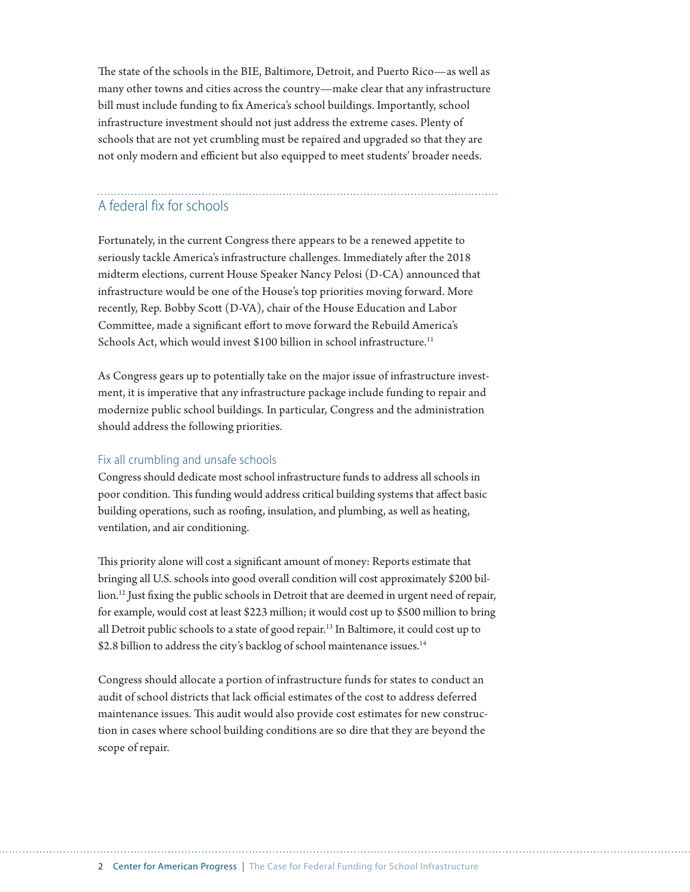The state of the schools in the BIE, Baltimore, Detroit, and Puerto Rico—as well as many other towns and cities across the country—make clear that any infrastructure bill must include funding to fix America's school buildings. Importantly, school infrastructure investment should not just address the extreme cases. Plenty of schools that are not yet crumbling must be repaired and upgraded so that they are not only modern and efficient but also equipped to meet students' broader needs.

## A federal fix for schools

Fortunately, in the current Congress there appears to be a renewed appetite to seriously tackle America's infrastructure challenges. Immediately after the 2018 midterm elections, current House Speaker Nancy Pelosi (D-CA) announced that infrastructure would be one of the House's top priorities moving forward. More recently, Rep. Bobby Scott (D-VA), chair of the House Education and Labor Committee, made a significant effort to move forward the Rebuild America's Schools Act, which would invest \$100 billion in school infrastructure.<sup>11</sup>

As Congress gears up to potentially take on the major issue of infrastructure investment, it is imperative that any infrastructure package include funding to repair and modernize public school buildings. In particular, Congress and the administration should address the following priorities.

### Fix all crumbling and unsafe schools

Congress should dedicate most school infrastructure funds to address all schools in poor condition. This funding would address critical building systems that affect basic building operations, such as roofing, insulation, and plumbing, as well as heating, ventilation, and air conditioning.

This priority alone will cost a significant amount of money: Reports estimate that bringing all U.S. schools into good overall condition will cost approximately \$200 billion.<sup>12</sup> Just fixing the public schools in Detroit that are deemed in urgent need of repair, for example, would cost at least \$223 million; it would cost up to \$500 million to bring all Detroit public schools to a state of good repair.13 In Baltimore, it could cost up to \$2.8 billion to address the city's backlog of school maintenance issues.<sup>14</sup>

Congress should allocate a portion of infrastructure funds for states to conduct an audit of school districts that lack official estimates of the cost to address deferred maintenance issues. This audit would also provide cost estimates for new construction in cases where school building conditions are so dire that they are beyond the scope of repair.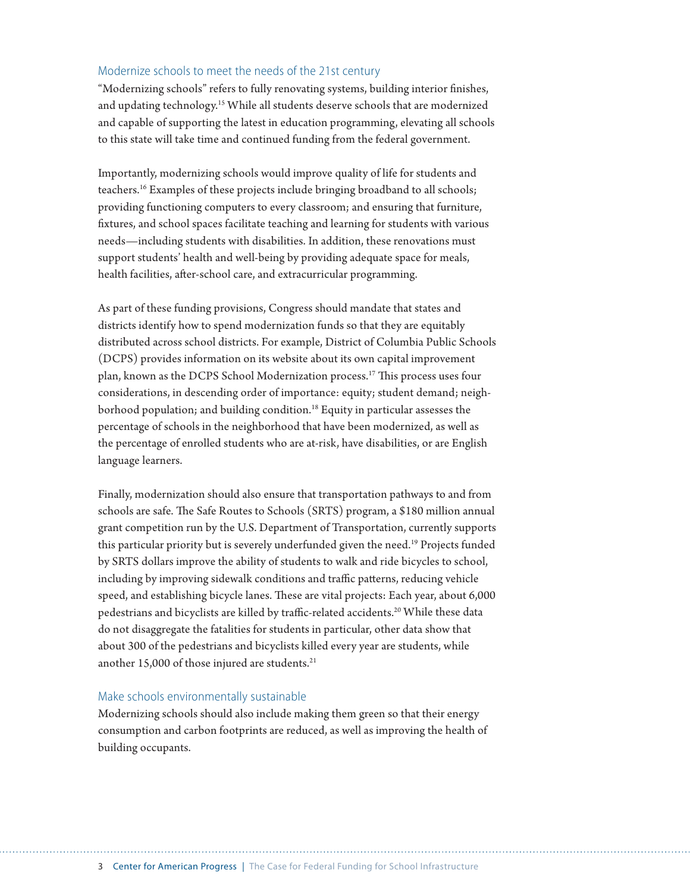## Modernize schools to meet the needs of the 21st century

"Modernizing schools" refers to fully renovating systems, building interior finishes, and updating technology.15 While all students deserve schools that are modernized and capable of supporting the latest in education programming, elevating all schools to this state will take time and continued funding from the federal government.

Importantly, modernizing schools would improve quality of life for students and teachers.16 Examples of these projects include bringing broadband to all schools; providing functioning computers to every classroom; and ensuring that furniture, fixtures, and school spaces facilitate teaching and learning for students with various needs—including students with disabilities. In addition, these renovations must support students' health and well-being by providing adequate space for meals, health facilities, after-school care, and extracurricular programming.

As part of these funding provisions, Congress should mandate that states and districts identify how to spend modernization funds so that they are equitably distributed across school districts. For example, District of Columbia Public Schools (DCPS) provides information on its website about its own capital improvement plan, known as the DCPS School Modernization process.17 This process uses four considerations, in descending order of importance: equity; student demand; neighborhood population; and building condition.<sup>18</sup> Equity in particular assesses the percentage of schools in the neighborhood that have been modernized, as well as the percentage of enrolled students who are at-risk, have disabilities, or are English language learners.

Finally, modernization should also ensure that transportation pathways to and from schools are safe. The Safe Routes to Schools (SRTS) program, a \$180 million annual grant competition run by the U.S. Department of Transportation, currently supports this particular priority but is severely underfunded given the need.<sup>19</sup> Projects funded by SRTS dollars improve the ability of students to walk and ride bicycles to school, including by improving sidewalk conditions and traffic patterns, reducing vehicle speed, and establishing bicycle lanes. These are vital projects: Each year, about 6,000 pedestrians and bicyclists are killed by traffic-related accidents.<sup>20</sup> While these data do not disaggregate the fatalities for students in particular, other data show that about 300 of the pedestrians and bicyclists killed every year are students, while another  $15,000$  of those injured are students.<sup>21</sup>

#### Make schools environmentally sustainable

Modernizing schools should also include making them green so that their energy consumption and carbon footprints are reduced, as well as improving the health of building occupants.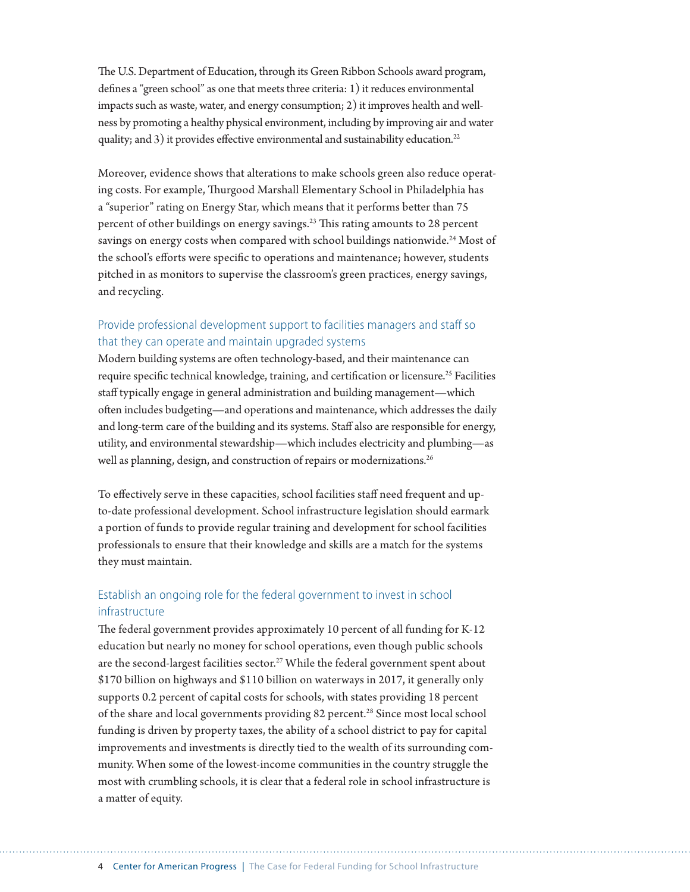The U.S. Department of Education, through its Green Ribbon Schools award program, defines a "green school" as one that meets three criteria: 1) it reduces environmental impacts such as waste, water, and energy consumption; 2) it improves health and wellness by promoting a healthy physical environment, including by improving air and water quality; and 3) it provides effective environmental and sustainability education.<sup>22</sup>

Moreover, evidence shows that alterations to make schools green also reduce operating costs. For example, Thurgood Marshall Elementary School in Philadelphia has a "superior" rating on Energy Star, which means that it performs better than 75 percent of other buildings on energy savings.23 This rating amounts to 28 percent savings on energy costs when compared with school buildings nationwide.<sup>24</sup> Most of the school's efforts were specific to operations and maintenance; however, students pitched in as monitors to supervise the classroom's green practices, energy savings, and recycling.

## Provide professional development support to facilities managers and staff so that they can operate and maintain upgraded systems

Modern building systems are often technology-based, and their maintenance can require specific technical knowledge, training, and certification or licensure.<sup>25</sup> Facilities staff typically engage in general administration and building management—which often includes budgeting—and operations and maintenance, which addresses the daily and long-term care of the building and its systems. Staff also are responsible for energy, utility, and environmental stewardship—which includes electricity and plumbing—as well as planning, design, and construction of repairs or modernizations.<sup>26</sup>

To effectively serve in these capacities, school facilities staff need frequent and upto-date professional development. School infrastructure legislation should earmark a portion of funds to provide regular training and development for school facilities professionals to ensure that their knowledge and skills are a match for the systems they must maintain.

## Establish an ongoing role for the federal government to invest in school infrastructure

The federal government provides approximately 10 percent of all funding for K-12 education but nearly no money for school operations, even though public schools are the second-largest facilities sector.<sup>27</sup> While the federal government spent about \$170 billion on highways and \$110 billion on waterways in 2017, it generally only supports 0.2 percent of capital costs for schools, with states providing 18 percent of the share and local governments providing 82 percent.<sup>28</sup> Since most local school funding is driven by property taxes, the ability of a school district to pay for capital improvements and investments is directly tied to the wealth of its surrounding community. When some of the lowest-income communities in the country struggle the most with crumbling schools, it is clear that a federal role in school infrastructure is a matter of equity.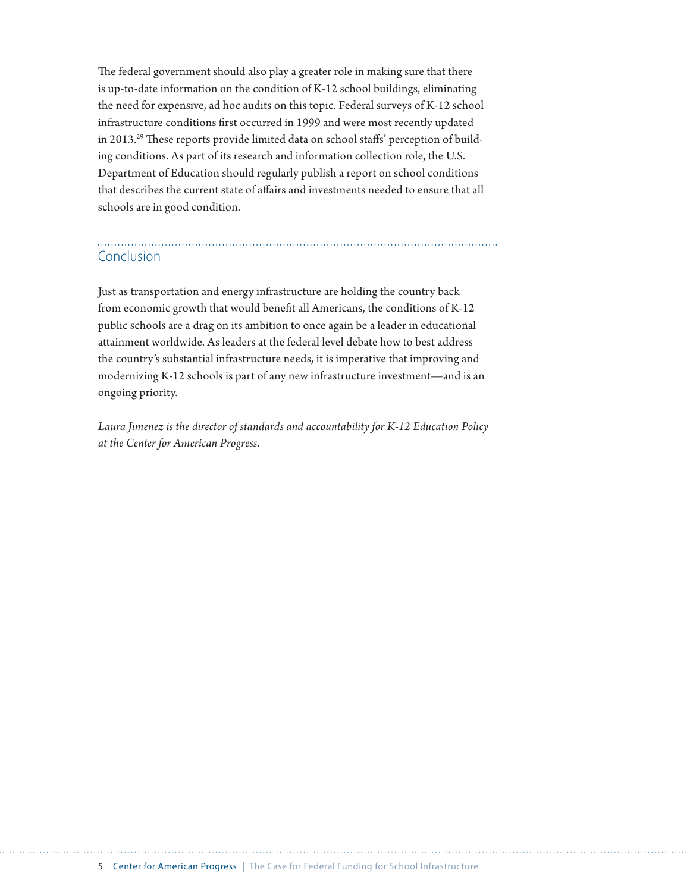The federal government should also play a greater role in making sure that there is up-to-date information on the condition of K-12 school buildings, eliminating the need for expensive, ad hoc audits on this topic. Federal surveys of K-12 school infrastructure conditions first occurred in 1999 and were most recently updated in 2013.29 These reports provide limited data on school staffs' perception of building conditions. As part of its research and information collection role, the U.S. Department of Education should regularly publish a report on school conditions that describes the current state of affairs and investments needed to ensure that all schools are in good condition.

# Conclusion

Just as transportation and energy infrastructure are holding the country back from economic growth that would benefit all Americans, the conditions of K-12 public schools are a drag on its ambition to once again be a leader in educational attainment worldwide. As leaders at the federal level debate how to best address the country's substantial infrastructure needs, it is imperative that improving and modernizing K-12 schools is part of any new infrastructure investment—and is an ongoing priority.

*Laura Jimenez is the director of standards and accountability for K-12 Education Policy at the Center for American Progress*.